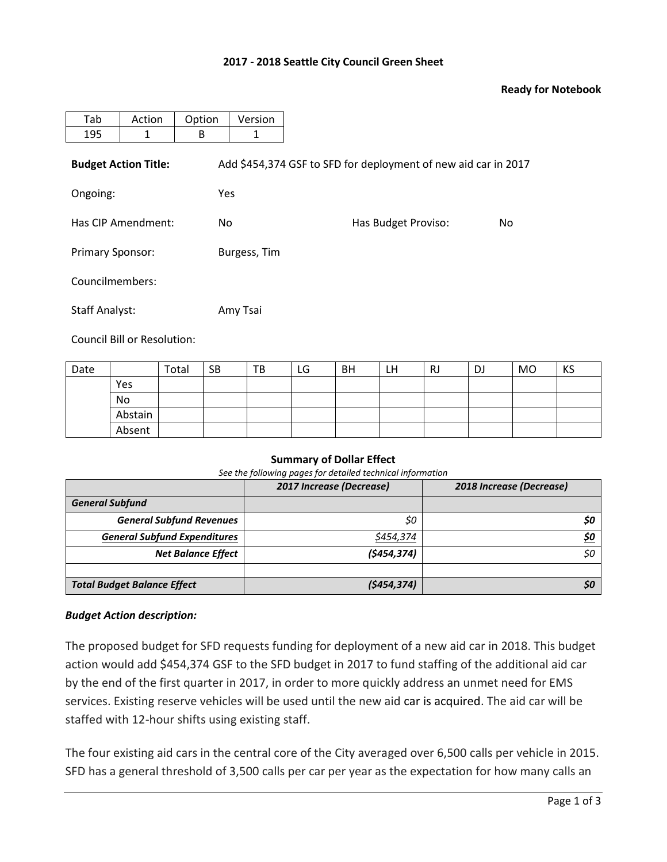### **2017 - 2018 Seattle City Council Green Sheet**

### **Ready for Notebook**

| Tab                         | Action | Option | Version      |                                                                |     |
|-----------------------------|--------|--------|--------------|----------------------------------------------------------------|-----|
| 195                         | 1      | B      | 1            |                                                                |     |
| <b>Budget Action Title:</b> |        |        |              | Add \$454,374 GSF to SFD for deployment of new aid car in 2017 |     |
| Ongoing:                    |        |        | Yes          |                                                                |     |
| Has CIP Amendment:          |        | No.    |              | Has Budget Proviso:                                            | No. |
| <b>Primary Sponsor:</b>     |        |        | Burgess, Tim |                                                                |     |
| Councilmembers:             |        |        |              |                                                                |     |
| <b>Staff Analyst:</b>       |        |        | Amy Tsai     |                                                                |     |

Council Bill or Resolution:

| Date |         | Total | <b>SB</b> | TB | LG | BH | LH | <b>RJ</b> | DJ | MO | KS |
|------|---------|-------|-----------|----|----|----|----|-----------|----|----|----|
|      | Yes     |       |           |    |    |    |    |           |    |    |    |
|      | No      |       |           |    |    |    |    |           |    |    |    |
|      | Abstain |       |           |    |    |    |    |           |    |    |    |
|      | Absent  |       |           |    |    |    |    |           |    |    |    |

#### **Summary of Dollar Effect**

*See the following pages for detailed technical information*

|                                     | 2017 Increase (Decrease) | 2018 Increase (Decrease) |  |  |
|-------------------------------------|--------------------------|--------------------------|--|--|
| <b>General Subfund</b>              |                          |                          |  |  |
| <b>General Subfund Revenues</b>     | \$0                      | SO.                      |  |  |
| <b>General Subfund Expenditures</b> | \$454,374                | \$0                      |  |  |
| <b>Net Balance Effect</b>           | (\$454,374)              | \$0                      |  |  |
|                                     |                          |                          |  |  |
| <b>Total Budget Balance Effect</b>  | (\$454,374)              | SΟ                       |  |  |

#### *Budget Action description:*

The proposed budget for SFD requests funding for deployment of a new aid car in 2018. This budget action would add \$454,374 GSF to the SFD budget in 2017 to fund staffing of the additional aid car by the end of the first quarter in 2017, in order to more quickly address an unmet need for EMS services. Existing reserve vehicles will be used until the new aid car is acquired. The aid car will be staffed with 12-hour shifts using existing staff.

The four existing aid cars in the central core of the City averaged over 6,500 calls per vehicle in 2015. SFD has a general threshold of 3,500 calls per car per year as the expectation for how many calls an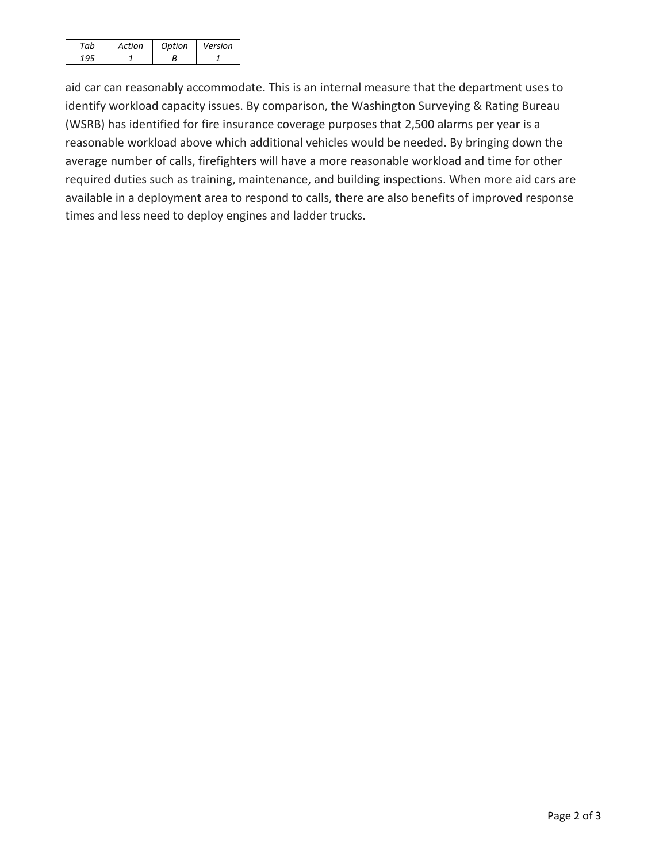| Artion | Ontion | Version |
|--------|--------|---------|
|        |        |         |

aid car can reasonably accommodate. This is an internal measure that the department uses to identify workload capacity issues. By comparison, the Washington Surveying & Rating Bureau (WSRB) has identified for fire insurance coverage purposes that 2,500 alarms per year is a reasonable workload above which additional vehicles would be needed. By bringing down the average number of calls, firefighters will have a more reasonable workload and time for other required duties such as training, maintenance, and building inspections. When more aid cars are available in a deployment area to respond to calls, there are also benefits of improved response times and less need to deploy engines and ladder trucks.